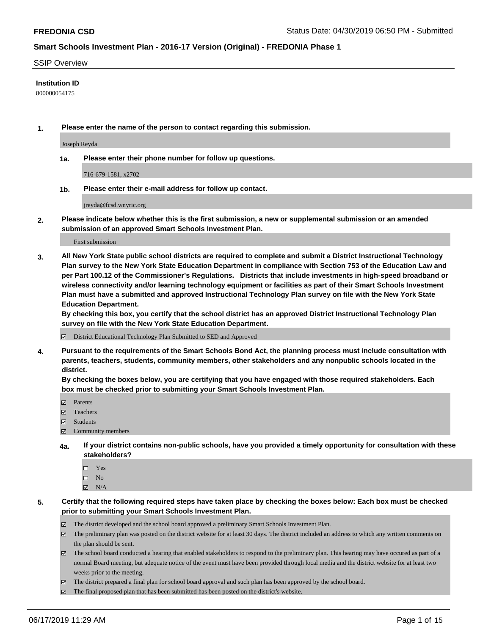#### SSIP Overview

### **Institution ID**

800000054175

**1. Please enter the name of the person to contact regarding this submission.**

Joseph Reyda

**1a. Please enter their phone number for follow up questions.**

716-679-1581, x2702

**1b. Please enter their e-mail address for follow up contact.**

jreyda@fcsd.wnyric.org

**2. Please indicate below whether this is the first submission, a new or supplemental submission or an amended submission of an approved Smart Schools Investment Plan.**

First submission

**3. All New York State public school districts are required to complete and submit a District Instructional Technology Plan survey to the New York State Education Department in compliance with Section 753 of the Education Law and per Part 100.12 of the Commissioner's Regulations. Districts that include investments in high-speed broadband or wireless connectivity and/or learning technology equipment or facilities as part of their Smart Schools Investment Plan must have a submitted and approved Instructional Technology Plan survey on file with the New York State Education Department.** 

**By checking this box, you certify that the school district has an approved District Instructional Technology Plan survey on file with the New York State Education Department.**

District Educational Technology Plan Submitted to SED and Approved

**4. Pursuant to the requirements of the Smart Schools Bond Act, the planning process must include consultation with parents, teachers, students, community members, other stakeholders and any nonpublic schools located in the district.** 

**By checking the boxes below, you are certifying that you have engaged with those required stakeholders. Each box must be checked prior to submitting your Smart Schools Investment Plan.**

- Parents
- Teachers
- Students
- Community members
- **4a. If your district contains non-public schools, have you provided a timely opportunity for consultation with these stakeholders?**
	- □ Yes
	- $\square$  No
	- $N/A$
- **5. Certify that the following required steps have taken place by checking the boxes below: Each box must be checked prior to submitting your Smart Schools Investment Plan.**
	- The district developed and the school board approved a preliminary Smart Schools Investment Plan.
	- $\boxtimes$  The preliminary plan was posted on the district website for at least 30 days. The district included an address to which any written comments on the plan should be sent.
	- $\boxtimes$  The school board conducted a hearing that enabled stakeholders to respond to the preliminary plan. This hearing may have occured as part of a normal Board meeting, but adequate notice of the event must have been provided through local media and the district website for at least two weeks prior to the meeting.
	- The district prepared a final plan for school board approval and such plan has been approved by the school board.
	- $\boxtimes$  The final proposed plan that has been submitted has been posted on the district's website.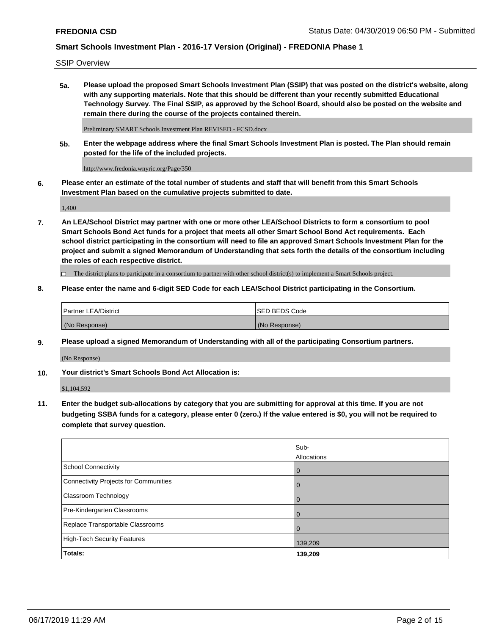SSIP Overview

**5a. Please upload the proposed Smart Schools Investment Plan (SSIP) that was posted on the district's website, along with any supporting materials. Note that this should be different than your recently submitted Educational Technology Survey. The Final SSIP, as approved by the School Board, should also be posted on the website and remain there during the course of the projects contained therein.**

Preliminary SMART Schools Investment Plan REVISED - FCSD.docx

**5b. Enter the webpage address where the final Smart Schools Investment Plan is posted. The Plan should remain posted for the life of the included projects.**

http://www.fredonia.wnyric.org/Page/350

**6. Please enter an estimate of the total number of students and staff that will benefit from this Smart Schools Investment Plan based on the cumulative projects submitted to date.**

1,400

**7. An LEA/School District may partner with one or more other LEA/School Districts to form a consortium to pool Smart Schools Bond Act funds for a project that meets all other Smart School Bond Act requirements. Each school district participating in the consortium will need to file an approved Smart Schools Investment Plan for the project and submit a signed Memorandum of Understanding that sets forth the details of the consortium including the roles of each respective district.**

 $\Box$  The district plans to participate in a consortium to partner with other school district(s) to implement a Smart Schools project.

### **8. Please enter the name and 6-digit SED Code for each LEA/School District participating in the Consortium.**

| Partner LEA/District | <b>ISED BEDS Code</b> |
|----------------------|-----------------------|
| (No Response)        | (No Response)         |

### **9. Please upload a signed Memorandum of Understanding with all of the participating Consortium partners.**

(No Response)

**10. Your district's Smart Schools Bond Act Allocation is:**

\$1,104,592

**11. Enter the budget sub-allocations by category that you are submitting for approval at this time. If you are not budgeting SSBA funds for a category, please enter 0 (zero.) If the value entered is \$0, you will not be required to complete that survey question.**

|                                       | Sub-<br>Allocations |
|---------------------------------------|---------------------|
| School Connectivity                   | $\overline{0}$      |
| Connectivity Projects for Communities | $\overline{0}$      |
| <b>Classroom Technology</b>           | $\overline{0}$      |
| Pre-Kindergarten Classrooms           | 0                   |
| Replace Transportable Classrooms      |                     |
| High-Tech Security Features           | 139,209             |
| Totals:                               | 139,209             |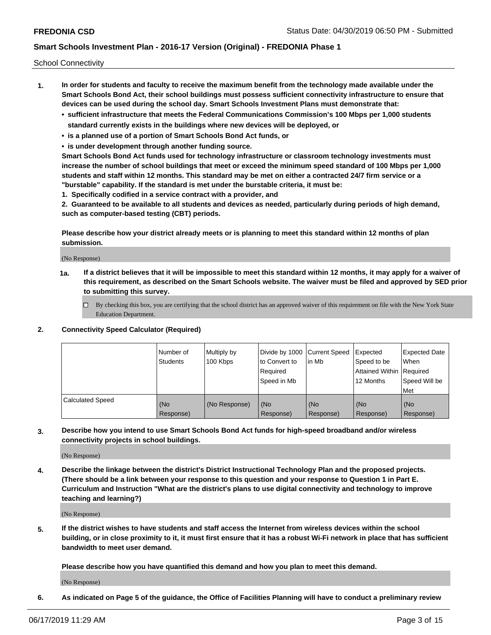School Connectivity

- **1. In order for students and faculty to receive the maximum benefit from the technology made available under the Smart Schools Bond Act, their school buildings must possess sufficient connectivity infrastructure to ensure that devices can be used during the school day. Smart Schools Investment Plans must demonstrate that:**
	- **• sufficient infrastructure that meets the Federal Communications Commission's 100 Mbps per 1,000 students standard currently exists in the buildings where new devices will be deployed, or**
	- **• is a planned use of a portion of Smart Schools Bond Act funds, or**
	- **• is under development through another funding source.**

**Smart Schools Bond Act funds used for technology infrastructure or classroom technology investments must increase the number of school buildings that meet or exceed the minimum speed standard of 100 Mbps per 1,000 students and staff within 12 months. This standard may be met on either a contracted 24/7 firm service or a "burstable" capability. If the standard is met under the burstable criteria, it must be:**

**1. Specifically codified in a service contract with a provider, and**

**2. Guaranteed to be available to all students and devices as needed, particularly during periods of high demand, such as computer-based testing (CBT) periods.**

**Please describe how your district already meets or is planning to meet this standard within 12 months of plan submission.**

(No Response)

**1a. If a district believes that it will be impossible to meet this standard within 12 months, it may apply for a waiver of this requirement, as described on the Smart Schools website. The waiver must be filed and approved by SED prior to submitting this survey.**

 $\Box$  By checking this box, you are certifying that the school district has an approved waiver of this requirement on file with the New York State Education Department.

#### **2. Connectivity Speed Calculator (Required)**

|                         | l Number of<br>Students | Multiply by<br>100 Kbps | Divide by 1000 Current Speed<br>to Convert to<br>Required<br>l Speed in Mb | lin Mb           | Expected<br>Speed to be<br>Attained Within   Required<br>12 Months | <b>Expected Date</b><br>When<br>Speed Will be<br>Met |
|-------------------------|-------------------------|-------------------------|----------------------------------------------------------------------------|------------------|--------------------------------------------------------------------|------------------------------------------------------|
| <b>Calculated Speed</b> | (No<br>Response)        | (No Response)           | (No<br>Response)                                                           | (No<br>Response) | (No<br>Response)                                                   | (No<br>Response)                                     |

**3. Describe how you intend to use Smart Schools Bond Act funds for high-speed broadband and/or wireless connectivity projects in school buildings.**

(No Response)

**4. Describe the linkage between the district's District Instructional Technology Plan and the proposed projects. (There should be a link between your response to this question and your response to Question 1 in Part E. Curriculum and Instruction "What are the district's plans to use digital connectivity and technology to improve teaching and learning?)**

(No Response)

**5. If the district wishes to have students and staff access the Internet from wireless devices within the school building, or in close proximity to it, it must first ensure that it has a robust Wi-Fi network in place that has sufficient bandwidth to meet user demand.**

**Please describe how you have quantified this demand and how you plan to meet this demand.**

(No Response)

**6. As indicated on Page 5 of the guidance, the Office of Facilities Planning will have to conduct a preliminary review**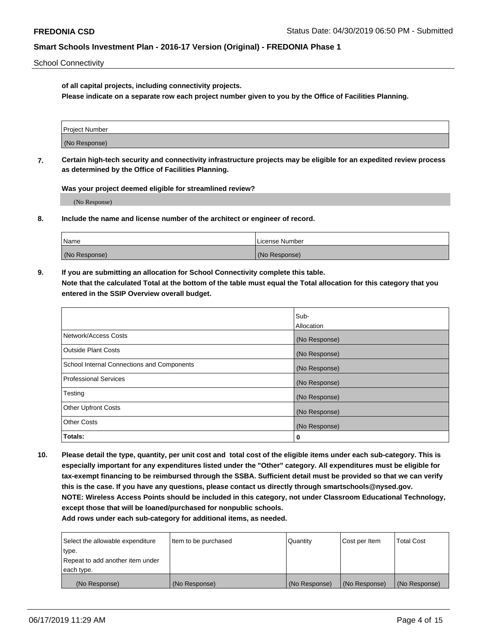School Connectivity

**of all capital projects, including connectivity projects.**

**Please indicate on a separate row each project number given to you by the Office of Facilities Planning.**

| Project Number |  |
|----------------|--|
|                |  |
| (No Response)  |  |
|                |  |

**7. Certain high-tech security and connectivity infrastructure projects may be eligible for an expedited review process as determined by the Office of Facilities Planning.**

**Was your project deemed eligible for streamlined review?**

(No Response)

**8. Include the name and license number of the architect or engineer of record.**

| Name          | License Number |
|---------------|----------------|
| (No Response) | (No Response)  |

**9. If you are submitting an allocation for School Connectivity complete this table. Note that the calculated Total at the bottom of the table must equal the Total allocation for this category that you entered in the SSIP Overview overall budget.** 

|                                            | Sub-          |
|--------------------------------------------|---------------|
|                                            | Allocation    |
| Network/Access Costs                       | (No Response) |
| Outside Plant Costs                        | (No Response) |
| School Internal Connections and Components | (No Response) |
| <b>Professional Services</b>               | (No Response) |
| Testing                                    | (No Response) |
| <b>Other Upfront Costs</b>                 | (No Response) |
| <b>Other Costs</b>                         | (No Response) |
| Totals:                                    | 0             |

**10. Please detail the type, quantity, per unit cost and total cost of the eligible items under each sub-category. This is especially important for any expenditures listed under the "Other" category. All expenditures must be eligible for tax-exempt financing to be reimbursed through the SSBA. Sufficient detail must be provided so that we can verify this is the case. If you have any questions, please contact us directly through smartschools@nysed.gov. NOTE: Wireless Access Points should be included in this category, not under Classroom Educational Technology, except those that will be loaned/purchased for nonpublic schools.**

| Select the allowable expenditure | Item to be purchased | Quantity      | Cost per Item | <b>Total Cost</b> |
|----------------------------------|----------------------|---------------|---------------|-------------------|
| type.                            |                      |               |               |                   |
| Repeat to add another item under |                      |               |               |                   |
| each type.                       |                      |               |               |                   |
| (No Response)                    | (No Response)        | (No Response) | (No Response) | (No Response)     |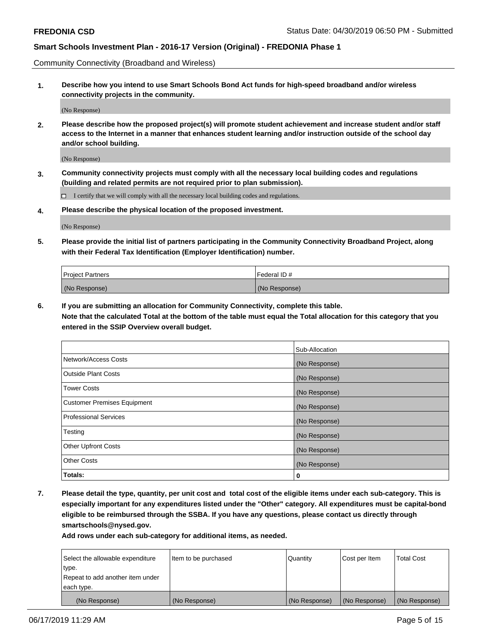Community Connectivity (Broadband and Wireless)

**1. Describe how you intend to use Smart Schools Bond Act funds for high-speed broadband and/or wireless connectivity projects in the community.**

(No Response)

**2. Please describe how the proposed project(s) will promote student achievement and increase student and/or staff access to the Internet in a manner that enhances student learning and/or instruction outside of the school day and/or school building.**

(No Response)

**3. Community connectivity projects must comply with all the necessary local building codes and regulations (building and related permits are not required prior to plan submission).**

 $\Box$  I certify that we will comply with all the necessary local building codes and regulations.

**4. Please describe the physical location of the proposed investment.**

(No Response)

**5. Please provide the initial list of partners participating in the Community Connectivity Broadband Project, along with their Federal Tax Identification (Employer Identification) number.**

| <b>Project Partners</b> | Federal ID#   |
|-------------------------|---------------|
| (No Response)           | (No Response) |

**6. If you are submitting an allocation for Community Connectivity, complete this table.**

**Note that the calculated Total at the bottom of the table must equal the Total allocation for this category that you entered in the SSIP Overview overall budget.**

|                                    | Sub-Allocation |
|------------------------------------|----------------|
| Network/Access Costs               | (No Response)  |
| <b>Outside Plant Costs</b>         | (No Response)  |
| <b>Tower Costs</b>                 | (No Response)  |
| <b>Customer Premises Equipment</b> | (No Response)  |
| <b>Professional Services</b>       | (No Response)  |
| Testing                            | (No Response)  |
| <b>Other Upfront Costs</b>         | (No Response)  |
| <b>Other Costs</b>                 | (No Response)  |
| Totals:                            | 0              |

**7. Please detail the type, quantity, per unit cost and total cost of the eligible items under each sub-category. This is especially important for any expenditures listed under the "Other" category. All expenditures must be capital-bond eligible to be reimbursed through the SSBA. If you have any questions, please contact us directly through smartschools@nysed.gov.**

| Select the allowable expenditure | Item to be purchased | Quantity      | Cost per Item | <b>Total Cost</b> |
|----------------------------------|----------------------|---------------|---------------|-------------------|
| type.                            |                      |               |               |                   |
| Repeat to add another item under |                      |               |               |                   |
| each type.                       |                      |               |               |                   |
| (No Response)                    | (No Response)        | (No Response) | (No Response) | (No Response)     |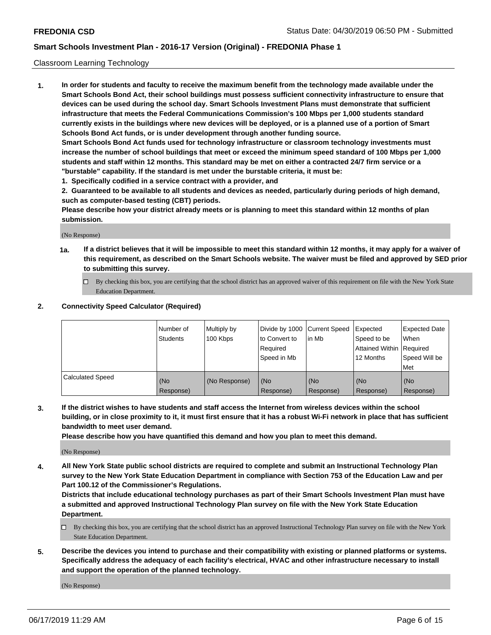### Classroom Learning Technology

**1. In order for students and faculty to receive the maximum benefit from the technology made available under the Smart Schools Bond Act, their school buildings must possess sufficient connectivity infrastructure to ensure that devices can be used during the school day. Smart Schools Investment Plans must demonstrate that sufficient infrastructure that meets the Federal Communications Commission's 100 Mbps per 1,000 students standard currently exists in the buildings where new devices will be deployed, or is a planned use of a portion of Smart Schools Bond Act funds, or is under development through another funding source. Smart Schools Bond Act funds used for technology infrastructure or classroom technology investments must increase the number of school buildings that meet or exceed the minimum speed standard of 100 Mbps per 1,000 students and staff within 12 months. This standard may be met on either a contracted 24/7 firm service or a**

**"burstable" capability. If the standard is met under the burstable criteria, it must be:**

**1. Specifically codified in a service contract with a provider, and**

**2. Guaranteed to be available to all students and devices as needed, particularly during periods of high demand, such as computer-based testing (CBT) periods.**

**Please describe how your district already meets or is planning to meet this standard within 12 months of plan submission.**

(No Response)

- **1a. If a district believes that it will be impossible to meet this standard within 12 months, it may apply for a waiver of this requirement, as described on the Smart Schools website. The waiver must be filed and approved by SED prior to submitting this survey.**
	- By checking this box, you are certifying that the school district has an approved waiver of this requirement on file with the New York State Education Department.

#### **2. Connectivity Speed Calculator (Required)**

|                         | I Number of<br>Students | Multiply by<br>100 Kbps | to Convert to<br>Required<br>Speed in Mb | Divide by 1000 Current Speed Expected<br>lin Mb | Speed to be<br>Attained Within Required<br>12 Months | <b>Expected Date</b><br>When<br>Speed Will be<br>Met |
|-------------------------|-------------------------|-------------------------|------------------------------------------|-------------------------------------------------|------------------------------------------------------|------------------------------------------------------|
| <b>Calculated Speed</b> | (No<br>Response)        | (No Response)           | (No<br>Response)                         | (No<br>Response)                                | (No<br>Response)                                     | (No<br>Response)                                     |

**3. If the district wishes to have students and staff access the Internet from wireless devices within the school building, or in close proximity to it, it must first ensure that it has a robust Wi-Fi network in place that has sufficient bandwidth to meet user demand.**

**Please describe how you have quantified this demand and how you plan to meet this demand.**

(No Response)

**4. All New York State public school districts are required to complete and submit an Instructional Technology Plan survey to the New York State Education Department in compliance with Section 753 of the Education Law and per Part 100.12 of the Commissioner's Regulations.**

**Districts that include educational technology purchases as part of their Smart Schools Investment Plan must have a submitted and approved Instructional Technology Plan survey on file with the New York State Education Department.**

- $\Box$  By checking this box, you are certifying that the school district has an approved Instructional Technology Plan survey on file with the New York State Education Department.
- **5. Describe the devices you intend to purchase and their compatibility with existing or planned platforms or systems. Specifically address the adequacy of each facility's electrical, HVAC and other infrastructure necessary to install and support the operation of the planned technology.**

(No Response)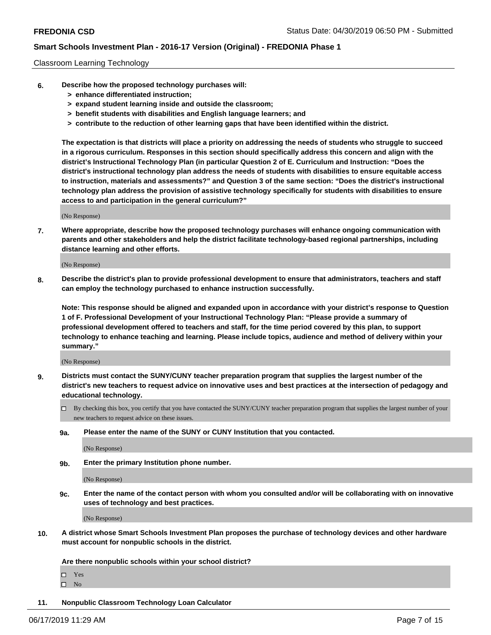#### Classroom Learning Technology

- **6. Describe how the proposed technology purchases will:**
	- **> enhance differentiated instruction;**
	- **> expand student learning inside and outside the classroom;**
	- **> benefit students with disabilities and English language learners; and**
	- **> contribute to the reduction of other learning gaps that have been identified within the district.**

**The expectation is that districts will place a priority on addressing the needs of students who struggle to succeed in a rigorous curriculum. Responses in this section should specifically address this concern and align with the district's Instructional Technology Plan (in particular Question 2 of E. Curriculum and Instruction: "Does the district's instructional technology plan address the needs of students with disabilities to ensure equitable access to instruction, materials and assessments?" and Question 3 of the same section: "Does the district's instructional technology plan address the provision of assistive technology specifically for students with disabilities to ensure access to and participation in the general curriculum?"**

(No Response)

**7. Where appropriate, describe how the proposed technology purchases will enhance ongoing communication with parents and other stakeholders and help the district facilitate technology-based regional partnerships, including distance learning and other efforts.**

(No Response)

**8. Describe the district's plan to provide professional development to ensure that administrators, teachers and staff can employ the technology purchased to enhance instruction successfully.**

**Note: This response should be aligned and expanded upon in accordance with your district's response to Question 1 of F. Professional Development of your Instructional Technology Plan: "Please provide a summary of professional development offered to teachers and staff, for the time period covered by this plan, to support technology to enhance teaching and learning. Please include topics, audience and method of delivery within your summary."**

(No Response)

- **9. Districts must contact the SUNY/CUNY teacher preparation program that supplies the largest number of the district's new teachers to request advice on innovative uses and best practices at the intersection of pedagogy and educational technology.**
	- By checking this box, you certify that you have contacted the SUNY/CUNY teacher preparation program that supplies the largest number of your new teachers to request advice on these issues.
	- **9a. Please enter the name of the SUNY or CUNY Institution that you contacted.**

(No Response)

**9b. Enter the primary Institution phone number.**

(No Response)

**9c. Enter the name of the contact person with whom you consulted and/or will be collaborating with on innovative uses of technology and best practices.**

(No Response)

**10. A district whose Smart Schools Investment Plan proposes the purchase of technology devices and other hardware must account for nonpublic schools in the district.**

**Are there nonpublic schools within your school district?**

Yes

 $\square$  No

**11. Nonpublic Classroom Technology Loan Calculator**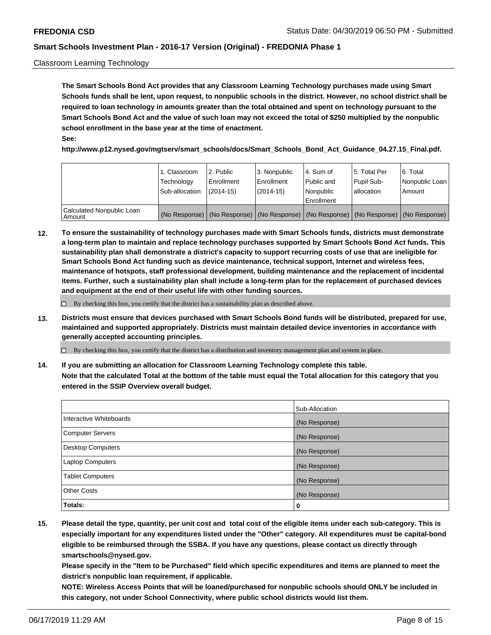#### Classroom Learning Technology

**The Smart Schools Bond Act provides that any Classroom Learning Technology purchases made using Smart Schools funds shall be lent, upon request, to nonpublic schools in the district. However, no school district shall be required to loan technology in amounts greater than the total obtained and spent on technology pursuant to the Smart Schools Bond Act and the value of such loan may not exceed the total of \$250 multiplied by the nonpublic school enrollment in the base year at the time of enactment. See:**

**http://www.p12.nysed.gov/mgtserv/smart\_schools/docs/Smart\_Schools\_Bond\_Act\_Guidance\_04.27.15\_Final.pdf.**

|                                       | 1. Classroom<br>Technology<br>Sub-allocation | 2. Public<br>l Enrollment<br>(2014-15) | l 3. Nonpublic<br>l Enrollment<br>$(2014 - 15)$ | l 4. Sum of<br>l Public and<br>l Nonpublic<br>Enrollment                                      | 15. Total Per<br>Pupil Sub-<br>l allocation | l 6. Total<br>Nonpublic Loan<br>Amount |
|---------------------------------------|----------------------------------------------|----------------------------------------|-------------------------------------------------|-----------------------------------------------------------------------------------------------|---------------------------------------------|----------------------------------------|
| Calculated Nonpublic Loan<br>l Amount |                                              |                                        |                                                 | (No Response)   (No Response)   (No Response)   (No Response)   (No Response)   (No Response) |                                             |                                        |

**12. To ensure the sustainability of technology purchases made with Smart Schools funds, districts must demonstrate a long-term plan to maintain and replace technology purchases supported by Smart Schools Bond Act funds. This sustainability plan shall demonstrate a district's capacity to support recurring costs of use that are ineligible for Smart Schools Bond Act funding such as device maintenance, technical support, Internet and wireless fees, maintenance of hotspots, staff professional development, building maintenance and the replacement of incidental items. Further, such a sustainability plan shall include a long-term plan for the replacement of purchased devices and equipment at the end of their useful life with other funding sources.**

 $\Box$  By checking this box, you certify that the district has a sustainability plan as described above.

**13. Districts must ensure that devices purchased with Smart Schools Bond funds will be distributed, prepared for use, maintained and supported appropriately. Districts must maintain detailed device inventories in accordance with generally accepted accounting principles.**

By checking this box, you certify that the district has a distribution and inventory management plan and system in place.

**14. If you are submitting an allocation for Classroom Learning Technology complete this table. Note that the calculated Total at the bottom of the table must equal the Total allocation for this category that you entered in the SSIP Overview overall budget.**

|                          | Sub-Allocation |
|--------------------------|----------------|
| Interactive Whiteboards  | (No Response)  |
| <b>Computer Servers</b>  | (No Response)  |
| <b>Desktop Computers</b> | (No Response)  |
| <b>Laptop Computers</b>  | (No Response)  |
| <b>Tablet Computers</b>  | (No Response)  |
| <b>Other Costs</b>       | (No Response)  |
| Totals:                  | 0              |

**15. Please detail the type, quantity, per unit cost and total cost of the eligible items under each sub-category. This is especially important for any expenditures listed under the "Other" category. All expenditures must be capital-bond eligible to be reimbursed through the SSBA. If you have any questions, please contact us directly through smartschools@nysed.gov.**

**Please specify in the "Item to be Purchased" field which specific expenditures and items are planned to meet the district's nonpublic loan requirement, if applicable.**

**NOTE: Wireless Access Points that will be loaned/purchased for nonpublic schools should ONLY be included in this category, not under School Connectivity, where public school districts would list them.**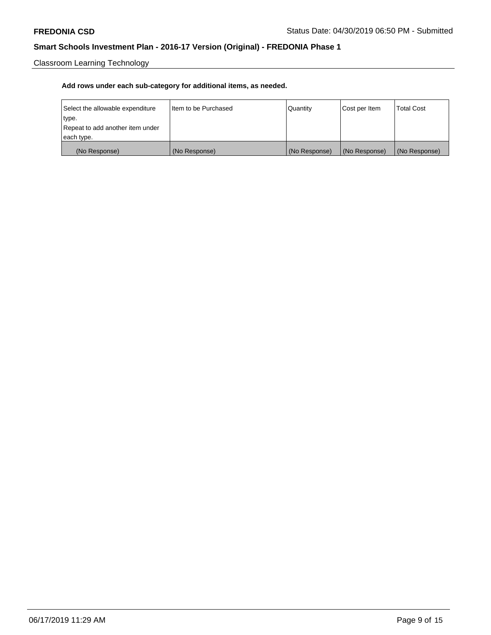Classroom Learning Technology

| Select the allowable expenditure | Iltem to be Purchased | Quantity      | Cost per Item | <b>Total Cost</b> |
|----------------------------------|-----------------------|---------------|---------------|-------------------|
| type.                            |                       |               |               |                   |
| Repeat to add another item under |                       |               |               |                   |
| each type.                       |                       |               |               |                   |
| (No Response)                    | (No Response)         | (No Response) | (No Response) | (No Response)     |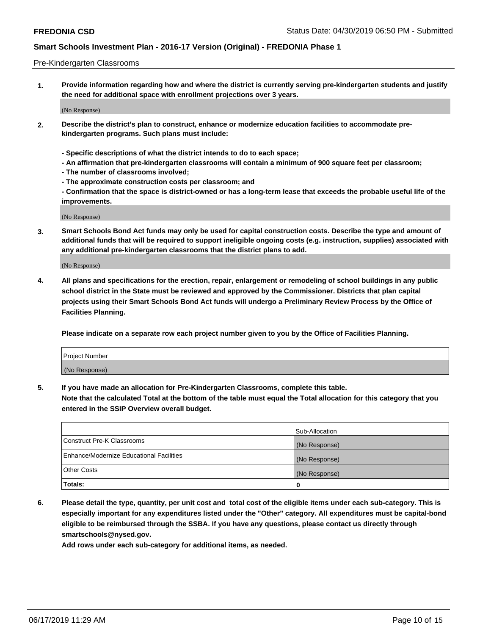#### Pre-Kindergarten Classrooms

**1. Provide information regarding how and where the district is currently serving pre-kindergarten students and justify the need for additional space with enrollment projections over 3 years.**

(No Response)

- **2. Describe the district's plan to construct, enhance or modernize education facilities to accommodate prekindergarten programs. Such plans must include:**
	- **Specific descriptions of what the district intends to do to each space;**
	- **An affirmation that pre-kindergarten classrooms will contain a minimum of 900 square feet per classroom;**
	- **The number of classrooms involved;**
	- **The approximate construction costs per classroom; and**
	- **Confirmation that the space is district-owned or has a long-term lease that exceeds the probable useful life of the improvements.**

(No Response)

**3. Smart Schools Bond Act funds may only be used for capital construction costs. Describe the type and amount of additional funds that will be required to support ineligible ongoing costs (e.g. instruction, supplies) associated with any additional pre-kindergarten classrooms that the district plans to add.**

(No Response)

**4. All plans and specifications for the erection, repair, enlargement or remodeling of school buildings in any public school district in the State must be reviewed and approved by the Commissioner. Districts that plan capital projects using their Smart Schools Bond Act funds will undergo a Preliminary Review Process by the Office of Facilities Planning.**

**Please indicate on a separate row each project number given to you by the Office of Facilities Planning.**

| Project Number |  |
|----------------|--|
| (No Response)  |  |
|                |  |

**5. If you have made an allocation for Pre-Kindergarten Classrooms, complete this table.**

**Note that the calculated Total at the bottom of the table must equal the Total allocation for this category that you entered in the SSIP Overview overall budget.**

|                                          | Sub-Allocation |
|------------------------------------------|----------------|
| Construct Pre-K Classrooms               | (No Response)  |
| Enhance/Modernize Educational Facilities | (No Response)  |
| <b>Other Costs</b>                       | (No Response)  |
| Totals:                                  | 0              |

**6. Please detail the type, quantity, per unit cost and total cost of the eligible items under each sub-category. This is especially important for any expenditures listed under the "Other" category. All expenditures must be capital-bond eligible to be reimbursed through the SSBA. If you have any questions, please contact us directly through smartschools@nysed.gov.**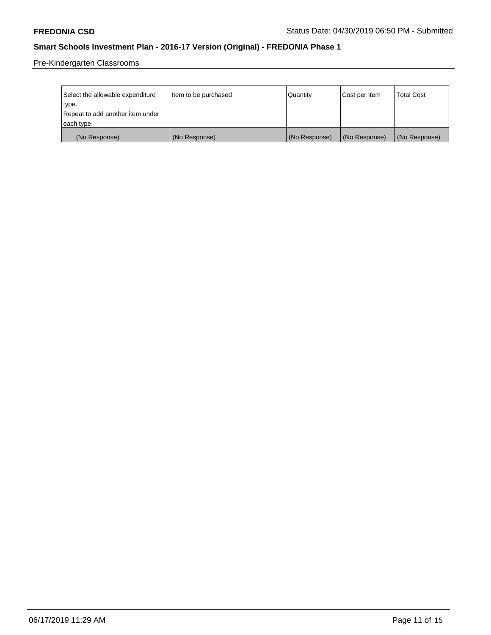Pre-Kindergarten Classrooms

| Select the allowable expenditure | Item to be purchased | Quantity      | Cost per Item | <b>Total Cost</b> |
|----------------------------------|----------------------|---------------|---------------|-------------------|
| type.                            |                      |               |               |                   |
| Repeat to add another item under |                      |               |               |                   |
| each type.                       |                      |               |               |                   |
| (No Response)                    | (No Response)        | (No Response) | (No Response) | (No Response)     |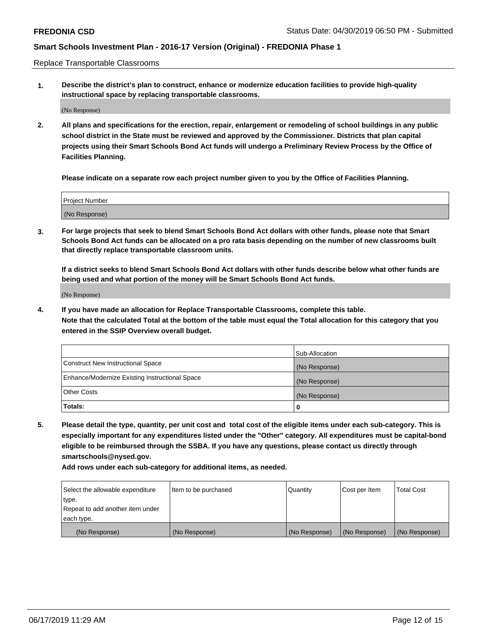Replace Transportable Classrooms

**1. Describe the district's plan to construct, enhance or modernize education facilities to provide high-quality instructional space by replacing transportable classrooms.**

(No Response)

**2. All plans and specifications for the erection, repair, enlargement or remodeling of school buildings in any public school district in the State must be reviewed and approved by the Commissioner. Districts that plan capital projects using their Smart Schools Bond Act funds will undergo a Preliminary Review Process by the Office of Facilities Planning.**

**Please indicate on a separate row each project number given to you by the Office of Facilities Planning.**

| Project Number |  |
|----------------|--|
|                |  |
| (No Response)  |  |

**3. For large projects that seek to blend Smart Schools Bond Act dollars with other funds, please note that Smart Schools Bond Act funds can be allocated on a pro rata basis depending on the number of new classrooms built that directly replace transportable classroom units.**

**If a district seeks to blend Smart Schools Bond Act dollars with other funds describe below what other funds are being used and what portion of the money will be Smart Schools Bond Act funds.**

(No Response)

**4. If you have made an allocation for Replace Transportable Classrooms, complete this table. Note that the calculated Total at the bottom of the table must equal the Total allocation for this category that you entered in the SSIP Overview overall budget.**

|                                                | Sub-Allocation |
|------------------------------------------------|----------------|
| Construct New Instructional Space              | (No Response)  |
| Enhance/Modernize Existing Instructional Space | (No Response)  |
| <b>Other Costs</b>                             | (No Response)  |
| Totals:                                        | 0              |

**5. Please detail the type, quantity, per unit cost and total cost of the eligible items under each sub-category. This is especially important for any expenditures listed under the "Other" category. All expenditures must be capital-bond eligible to be reimbursed through the SSBA. If you have any questions, please contact us directly through smartschools@nysed.gov.**

| Select the allowable expenditure | Item to be purchased | l Quantitv    | Cost per Item | <b>Total Cost</b> |
|----------------------------------|----------------------|---------------|---------------|-------------------|
| type.                            |                      |               |               |                   |
| Repeat to add another item under |                      |               |               |                   |
| each type.                       |                      |               |               |                   |
| (No Response)                    | (No Response)        | (No Response) | (No Response) | (No Response)     |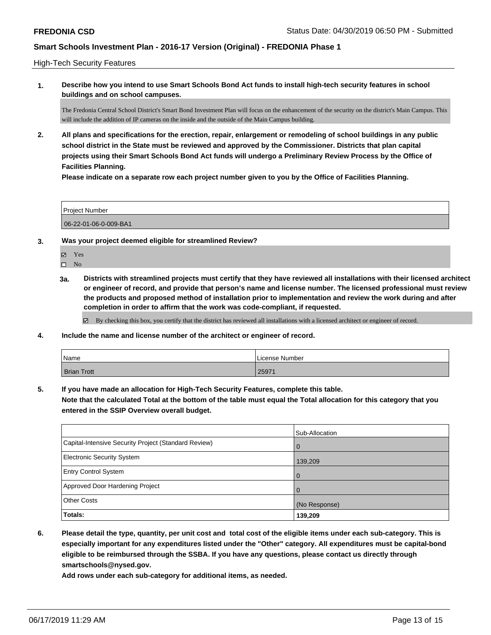High-Tech Security Features

**1. Describe how you intend to use Smart Schools Bond Act funds to install high-tech security features in school buildings and on school campuses.**

The Fredonia Central School District's Smart Bond Investment Plan will focus on the enhancement of the security on the district's Main Campus. This will include the addition of IP cameras on the inside and the outside of the Main Campus building.

**2. All plans and specifications for the erection, repair, enlargement or remodeling of school buildings in any public school district in the State must be reviewed and approved by the Commissioner. Districts that plan capital projects using their Smart Schools Bond Act funds will undergo a Preliminary Review Process by the Office of Facilities Planning.** 

**Please indicate on a separate row each project number given to you by the Office of Facilities Planning.**

| <b>Project Number</b> |  |
|-----------------------|--|
| 06-22-01-06-0-009-BA1 |  |

- **3. Was your project deemed eligible for streamlined Review?**
	- Yes

 $\square$  No

**3a. Districts with streamlined projects must certify that they have reviewed all installations with their licensed architect or engineer of record, and provide that person's name and license number. The licensed professional must review the products and proposed method of installation prior to implementation and review the work during and after completion in order to affirm that the work was code-compliant, if requested.**

By checking this box, you certify that the district has reviewed all installations with a licensed architect or engineer of record.

**4. Include the name and license number of the architect or engineer of record.**

| Name               | License Number |
|--------------------|----------------|
| <b>Brian Trott</b> | 25971          |

**5. If you have made an allocation for High-Tech Security Features, complete this table.**

**Note that the calculated Total at the bottom of the table must equal the Total allocation for this category that you entered in the SSIP Overview overall budget.**

|                                                      | Sub-Allocation |
|------------------------------------------------------|----------------|
| Capital-Intensive Security Project (Standard Review) | 0              |
| <b>Electronic Security System</b>                    | 139,209        |
| <b>Entry Control System</b>                          |                |
| Approved Door Hardening Project                      |                |
| <b>Other Costs</b>                                   | (No Response)  |
| Totals:                                              | 139,209        |

**6. Please detail the type, quantity, per unit cost and total cost of the eligible items under each sub-category. This is especially important for any expenditures listed under the "Other" category. All expenditures must be capital-bond eligible to be reimbursed through the SSBA. If you have any questions, please contact us directly through smartschools@nysed.gov.**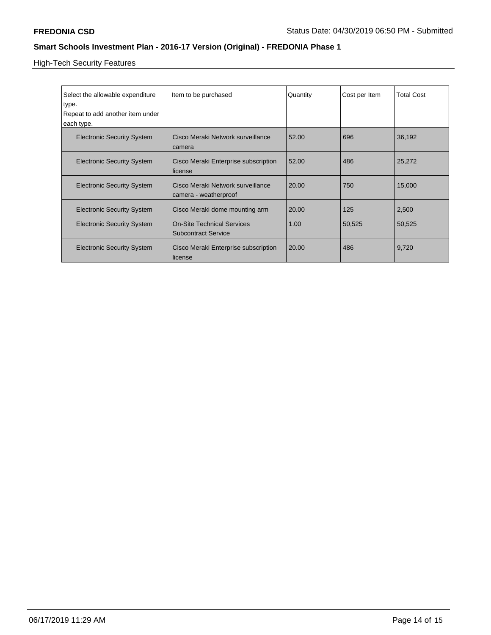High-Tech Security Features

| Select the allowable expenditure<br>type.<br>Repeat to add another item under<br>each type. | Item to be purchased                                            | Quantity | Cost per Item | <b>Total Cost</b> |
|---------------------------------------------------------------------------------------------|-----------------------------------------------------------------|----------|---------------|-------------------|
| <b>Electronic Security System</b>                                                           | Cisco Meraki Network surveillance<br>camera                     | 52.00    | 696           | 36,192            |
| <b>Electronic Security System</b>                                                           | Cisco Meraki Enterprise subscription<br>license                 | 52.00    | 486           | 25,272            |
| <b>Electronic Security System</b>                                                           | Cisco Meraki Network surveillance<br>camera - weatherproof      | 20.00    | 750           | 15,000            |
| <b>Electronic Security System</b>                                                           | Cisco Meraki dome mounting arm                                  | 20.00    | 125           | 2,500             |
| <b>Electronic Security System</b>                                                           | <b>On-Site Technical Services</b><br><b>Subcontract Service</b> | 1.00     | 50,525        | 50,525            |
| <b>Electronic Security System</b>                                                           | Cisco Meraki Enterprise subscription<br>license                 | 20.00    | 486           | 9,720             |